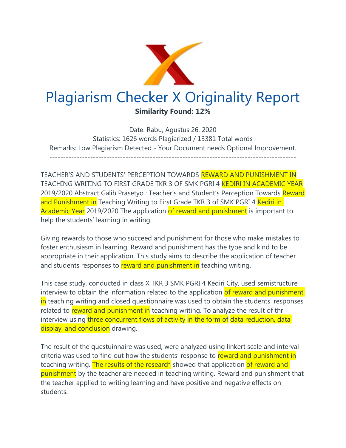

Date: Rabu, Agustus 26, 2020 Statistics: 1626 words Plagiarized / 13381 Total words Remarks: Low Plagiarism Detected - Your Document needs Optional Improvement. -------------------------------------------------------------------------------------------

TEACHER'S AND STUDENTS' PERCEPTION TOWARDS REWARD AND PUNISHMENT IN TEACHING WRITING TO FIRST GRADE TKR 3 OF SMK PGRI 4 KEDIRI IN ACADEMIC YEAR 2019/2020 Abstract Galih Prasetyo: Teacher's and Student's Perception Towards Reward and Punishment in Teaching Writing to First Grade TKR 3 of SMK PGRI 4 Kediri in Academic Year 2019/2020 The application of reward and punishment is important to help the students' learning in writing.

Giving rewards to those who succeed and punishment for those who make mistakes to foster enthusiasm in learning. Reward and punishment has the type and kind to be appropriate in their application. This study aims to describe the application of teacher and students responses to reward and punishment in teaching writing.

This case study, conducted in class X TKR 3 SMK PGRI 4 Kediri City, used semistructure interview to obtain the information related to the application of reward and punishment in teaching writing and closed questionnaire was used to obtain the students' responses related to reward and punishment in teaching writing. To analyze the result of thr interview using three concurrent flows of activity in the form of data reduction, data display, and conclusion drawing.

The result of the questuinnaire was used, were analyzed using linkert scale and interval criteria was used to find out how the students' response to reward and punishment in teaching writing. The results of the research showed that application of reward and punishment by the teacher are needed in teaching writing. Reward and punishment that the teacher applied to writing learning and have positive and negative effects on students.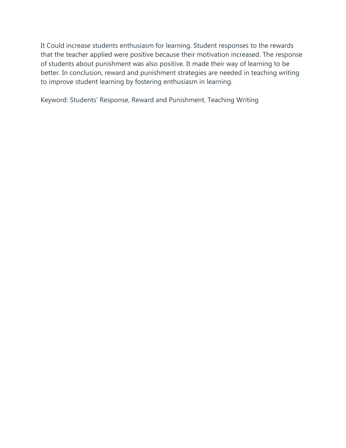It Could increase students enthusiasm for learning. Student responses to the rewards that the teacher applied were positive because their motivation increased. The response of students about punishment was also positive. It made their way of learning to be better. In conclusion, reward and punishment strategies are needed in teaching writing to improve student learning by fostering enthusiasm in learning.

Keyword: Students' Response, Reward and Punishment, Teaching Writing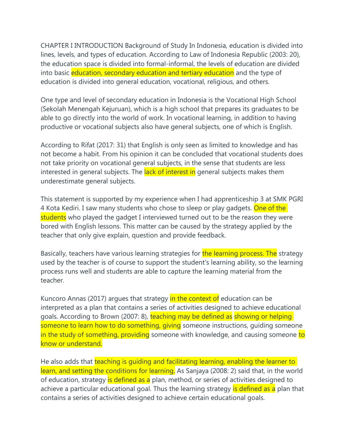CHAPTER I INTRODUCTION Background of Study In Indonesia, education is divided into lines, levels, and types of education. According to Law of Indonesia Republic (2003: 20), the education space is divided into formal-informal, the levels of education are divided into basic education, secondary education and tertiary education and the type of education is divided into general education, vocational, religious, and others.

One type and level of secondary education in Indonesia is the Vocational High School (Sekolah Menengah Kejuruan), which is a high school that prepares its graduates to be able to go directly into the world of work. In vocational learning, in addition to having productive or vocational subjects also have general subjects, one of which is English.

According to Rifat (2017: 31) that English is only seen as limited to knowledge and has not become a habit. From his opinion it can be concluded that vocational students does not take priority on vocational general subjects, in the sense that students are less interested in general subjects. The lack of interest in general subjects makes them underestimate general subjects.

This statement is supported by my experience when I had apprenticeship 3 at SMK PGRI 4 Kota Kediri. I saw many students who chose to sleep or play gadgets. One of the students who played the gadget I interviewed turned out to be the reason they were bored with English lessons. This matter can be caused by the strategy applied by the teacher that only give explain, question and provide feedback.

Basically, teachers have various learning strategies for the learning process. The strategy used by the teacher is of course to support the student's learning ability, so the learning process runs well and students are able to capture the learning material from the teacher.

Kuncoro Annas (2017) argues that strategy in the context of education can be interpreted as a plan that contains a series of activities designed to achieve educational goals. According to Brown (2007: 8), teaching may be defined as showing or helping someone to learn how to do something, giving someone instructions, quiding someone in the study of something, providing someone with knowledge, and causing someone to know or understand.

He also adds that teaching is quiding and facilitating learning, enabling the learner to learn, and setting the conditions for learning. As Sanjaya (2008: 2) said that, in the world of education, strategy is defined as a plan, method, or series of activities designed to achieve a particular educational goal. Thus the learning strategy is defined as a plan that contains a series of activities designed to achieve certain educational goals.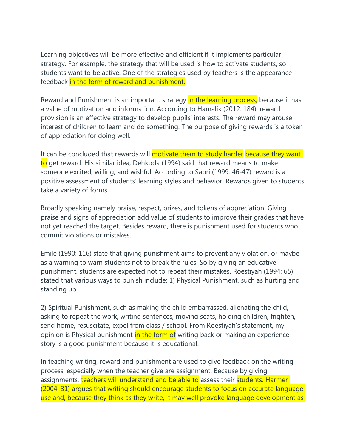Learning objectives will be more effective and efficient if it implements particular strategy. For example, the strategy that will be used is how to activate students, so students want to be active. One of the strategies used by teachers is the appearance feedback in the form of reward and punishment.

Reward and Punishment is an important strategy in the learning process, because it has a value of motivation and information. According to Hamalik (2012: 184), reward provision is an effective strategy to develop pupils' interests. The reward may arouse interest of children to learn and do something. The purpose of giving rewards is a token of appreciation for doing well.

It can be concluded that rewards will motivate them to study harder because they want to get reward. His similar idea, Dehkoda (1994) said that reward means to make someone excited, willing, and wishful. According to Sabri (1999: 46-47) reward is a positive assessment of students' learning styles and behavior. Rewards given to students take a variety of forms.

Broadly speaking namely praise, respect, prizes, and tokens of appreciation. Giving praise and signs of appreciation add value of students to improve their grades that have not yet reached the target. Besides reward, there is punishment used for students who commit violations or mistakes.

Emile (1990: 116) state that giving punishment aims to prevent any violation, or maybe as a warning to warn students not to break the rules. So by giving an educative punishment, students are expected not to repeat their mistakes. Roestiyah (1994: 65) stated that various ways to punish include: 1) Physical Punishment, such as hurting and standing up.

2) Spiritual Punishment, such as making the child embarrassed, alienating the child, asking to repeat the work, writing sentences, moving seats, holding children, frighten, send home, resuscitate, expel from class / school. From Roestiyah's statement, my opinion is Physical punishment in the form of writing back or making an experience story is a good punishment because it is educational.

In teaching writing, reward and punishment are used to give feedback on the writing process, especially when the teacher give are assignment. Because by giving assignments, teachers will understand and be able to assess their students. Harmer (2004: 31) argues that writing should encourage students to focus on accurate language use and, because they think as they write, it may well provoke language development as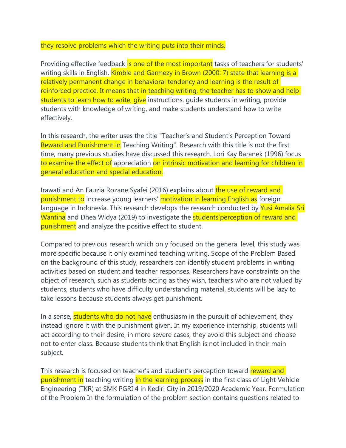## they resolve problems which the writing puts into their minds.

Providing effective feedback is one of the most important tasks of teachers for students' writing skills in English. Kimble and Garmezy in Brown (2000: 7) state that learning is a relatively permanent change in behavioral tendency and learning is the result of reinforced practice. It means that in teaching writing, the teacher has to show and help students to learn how to write, give instructions, quide students in writing, provide students with knowledge of writing, and make students understand how to write effectively.

In this research, the writer uses the title "Teacher's and Student's Perception Toward Reward and Punishment in Teaching Writing". Research with this title is not the first time, many previous studies have discussed this research. Lori Kay Baranek (1996) focus to examine the effect of appreciation on intrinsic motivation and learning for children in general education and special education.

Irawati and An Fauzia Rozane Syafei (2016) explains about the use of reward and punishment to increase young learners' motivation in learning English as foreign language in Indonesia. This research develops the research conducted by Yusi Amalia Sri Wantina and Dhea Widya (2019) to investigate the **students' perception of reward and** punishment and analyze the positive effect to student.

Compared to previous research which only focused on the general level, this study was more specific because it only examined teaching writing. Scope of the Problem Based on the background of this study, researchers can identify student problems in writing activities based on student and teacher responses. Researchers have constraints on the object of research, such as students acting as they wish, teachers who are not valued by students, students who have difficulty understanding material, students will be lazy to take lessons because students always get punishment.

In a sense, students who do not have enthusiasm in the pursuit of achievement, they instead ignore it with the punishment given. In my experience internship, students will act according to their desire, in more severe cases, they avoid this subject and choose not to enter class. Because students think that English is not included in their main subject.

This research is focused on teacher's and student's perception toward reward and punishment in teaching writing in the learning process in the first class of Light Vehicle Engineering (TKR) at SMK PGRI 4 in Kediri City in 2019/2020 Academic Year. Formulation of the Problem In the formulation of the problem section contains questions related to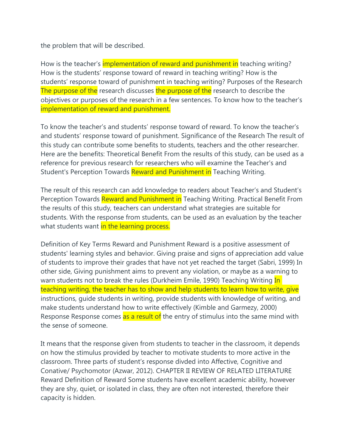the problem that will be described.

How is the teacher's *implementation of reward and punishment in* teaching writing? How is the students' response toward of reward in teaching writing? How is the students' response toward of punishment in teaching writing? Purposes of the Research The purpose of the research discusses the purpose of the research to describe the objectives or purposes of the research in a few sentences. To know how to the teacher's implementation of reward and punishment.

To know the teacher's and students' response toward of reward. To know the teacher's and students' response toward of punishment. Significance of the Research The result of this study can contribute some benefits to students, teachers and the other researcher. Here are the benefits: Theoretical Benefit From the results of this study, can be used as a reference for previous research for researchers who will examine the Teacher's and Student's Perception Towards Reward and Punishment in Teaching Writing.

The result of this research can add knowledge to readers about Teacher's and Student's Perception Towards Reward and Punishment in Teaching Writing. Practical Benefit From the results of this study, teachers can understand what strategies are suitable for students. With the response from students, can be used as an evaluation by the teacher what students want in the learning process.

Definition of Key Terms Reward and Punishment Reward is a positive assessment of students' learning styles and behavior. Giving praise and signs of appreciation add value of students to improve their grades that have not yet reached the target (Sabri, 1999) In other side, Giving punishment aims to prevent any violation, or maybe as a warning to warn students not to break the rules (Durkheim Emile, 1990) Teaching Writing In teaching writing, the teacher has to show and help students to learn how to write, give instructions, guide students in writing, provide students with knowledge of writing, and make students understand how to write effectively (Kimble and Garmezy, 2000) Response Response comes as a result of the entry of stimulus into the same mind with the sense of someone.

It means that the response given from students to teacher in the classroom, it depends on how the stimulus provided by teacher to motivate students to more active in the classroom. Three parts of student's response divded into Affective, Cognitive and Conative/ Psychomotor (Azwar, 2012). CHAPTER II REVIEW OF RELATED LITERATURE Reward Definition of Reward Some students have excellent academic ability, however they are shy, quiet, or isolated in class, they are often not interested, therefore their capacity is hidden.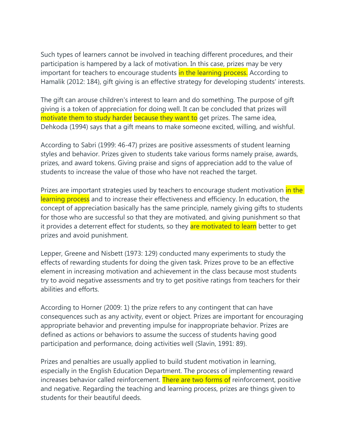Such types of learners cannot be involved in teaching different procedures, and their participation is hampered by a lack of motivation. In this case, prizes may be very important for teachers to encourage students in the learning process. According to Hamalik (2012: 184), gift giving is an effective strategy for developing students' interests.

The gift can arouse children's interest to learn and do something. The purpose of gift giving is a token of appreciation for doing well. It can be concluded that prizes will motivate them to study harder because they want to get prizes. The same idea, Dehkoda (1994) says that a gift means to make someone excited, willing, and wishful.

According to Sabri (1999: 46-47) prizes are positive assessments of student learning styles and behavior. Prizes given to students take various forms namely praise, awards, prizes, and award tokens. Giving praise and signs of appreciation add to the value of students to increase the value of those who have not reached the target.

Prizes are important strategies used by teachers to encourage student motivation in the learning process and to increase their effectiveness and efficiency. In education, the concept of appreciation basically has the same principle, namely giving gifts to students for those who are successful so that they are motivated, and giving punishment so that it provides a deterrent effect for students, so they are motivated to learn better to get prizes and avoid punishment.

Lepper, Greene and Nisbett (1973: 129) conducted many experiments to study the effects of rewarding students for doing the given task. Prizes prove to be an effective element in increasing motivation and achievement in the class because most students try to avoid negative assessments and try to get positive ratings from teachers for their abilities and efforts.

According to Horner (2009: 1) the prize refers to any contingent that can have consequences such as any activity, event or object. Prizes are important for encouraging appropriate behavior and preventing impulse for inappropriate behavior. Prizes are defined as actions or behaviors to assume the success of students having good participation and performance, doing activities well (Slavin, 1991: 89).

Prizes and penalties are usually applied to build student motivation in learning, especially in the English Education Department. The process of implementing reward increases behavior called reinforcement. There are two forms of reinforcement, positive and negative. Regarding the teaching and learning process, prizes are things given to students for their beautiful deeds.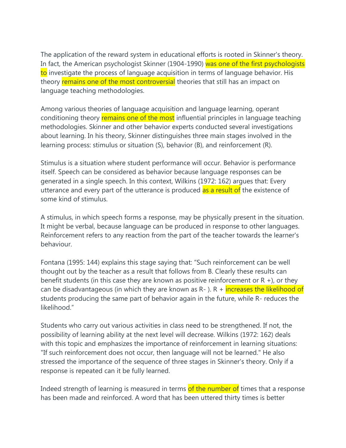The application of the reward system in educational efforts is rooted in Skinner's theory. In fact, the American psychologist Skinner (1904-1990) was one of the first psychologists to investigate the process of language acquisition in terms of language behavior. His theory remains one of the most controversial theories that still has an impact on language teaching methodologies.

Among various theories of language acquisition and language learning, operant conditioning theory remains one of the most influential principles in language teaching methodologies. Skinner and other behavior experts conducted several investigations about learning. In his theory, Skinner distinguishes three main stages involved in the learning process: stimulus or situation (S), behavior (B), and reinforcement (R).

Stimulus is a situation where student performance will occur. Behavior is performance itself. Speech can be considered as behavior because language responses can be generated in a single speech. In this context, Wilkins (1972: 162) argues that: Every utterance and every part of the utterance is produced as a result of the existence of some kind of stimulus.

A stimulus, in which speech forms a response, may be physically present in the situation. It might be verbal, because language can be produced in response to other languages. Reinforcement refers to any reaction from the part of the teacher towards the learner's behaviour.

Fontana (1995: 144) explains this stage saying that: "Such reinforcement can be well thought out by the teacher as a result that follows from B. Clearly these results can benefit students (in this case they are known as positive reinforcement or  $R +$ ), or they can be disadvantageous (in which they are known as  $R-$ ).  $R +$  increases the likelihood of students producing the same part of behavior again in the future, while R- reduces the likelihood<sup>"</sup>

Students who carry out various activities in class need to be strengthened. If not, the possibility of learning ability at the next level will decrease. Wilkins (1972: 162) deals with this topic and emphasizes the importance of reinforcement in learning situations: "If such reinforcement does not occur, then language will not be learned." He also stressed the importance of the sequence of three stages in Skinner's theory. Only if a response is repeated can it be fully learned.

Indeed strength of learning is measured in terms of the number of times that a response has been made and reinforced. A word that has been uttered thirty times is better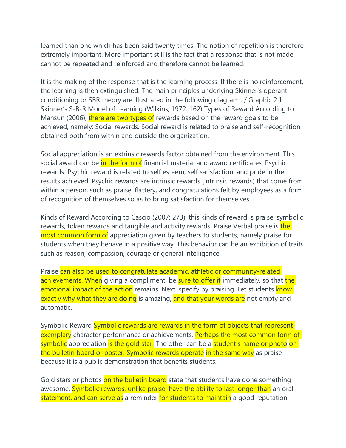learned than one which has been said twenty times. The notion of repetition is therefore extremely important. More important still is the fact that a response that is not made cannot be repeated and reinforced and therefore cannot be learned.

It is the making of the response that is the learning process. If there is no reinforcement, the learning is then extinguished. The main principles underlying Skinner's operant conditioning or SBR theory are illustrated in the following diagram : / Graphic 2.1 Skinner's S-B-R Model of Learning (Wilkins, 1972: 162) Types of Reward According to Mahsun (2006), there are two types of rewards based on the reward goals to be achieved, namely: Social rewards. Social reward is related to praise and self-recognition obtained both from within and outside the organization.

Social appreciation is an extrinsic rewards factor obtained from the environment. This social award can be in the form of financial material and award certificates. Psychic rewards. Psychic reward is related to self esteem, self satisfaction, and pride in the results achieved. Psychic rewards are intrinsic rewards (intrinsic rewards) that come from within a person, such as praise, flattery, and congratulations felt by employees as a form of recognition of themselves so as to bring satisfaction for themselves.

Kinds of Reward According to Cascio (2007: 273), this kinds of reward is praise, symbolic rewards, token rewards and tangible and activity rewards. Praise Verbal praise is the most common form of appreciation given by teachers to students, namely praise for students when they behave in a positive way. This behavior can be an exhibition of traits such as reason, compassion, courage or general intelligence.

Praise can also be used to congratulate academic, athletic or community-related achievements. When giving a compliment, be sure to offer it immediately, so that the emotional impact of the action remains. Next, specify by praising. Let students know exactly why what they are doing is amazing, and that your words are not empty and automatic.

Symbolic Reward Symbolic rewards are rewards in the form of objects that represent exemplary character performance or achievements. Perhaps the most common form of symbolic appreciation is the gold star. The other can be a student's name or photo on the bulletin board or poster. Symbolic rewards operate in the same way as praise because it is a public demonstration that benefits students.

Gold stars or photos on the bulletin board state that students have done something awesome. Symbolic rewards, unlike praise, have the ability to last longer than an oral statement, and can serve as a reminder for students to maintain a good reputation.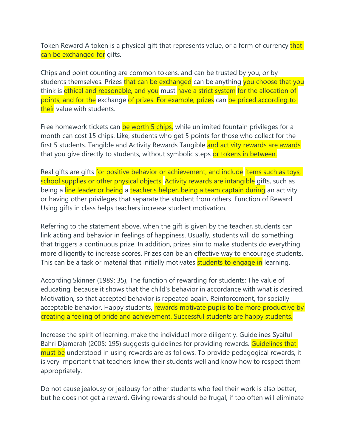Token Reward A token is a physical gift that represents value, or a form of currency that can be exchanged for gifts.

Chips and point counting are common tokens, and can be trusted by you, or by students themselves. Prizes that can be exchanged can be anything you choose that you think is ethical and reasonable, and you must have a strict system for the allocation of points, and for the exchange of prizes. For example, prizes can be priced according to their value with students.

Free homework tickets can be worth 5 chips, while unlimited fountain privileges for a month can cost 15 chips. Like, students who get 5 points for those who collect for the first 5 students. Tangible and Activity Rewards Tangible and activity rewards are awards that you give directly to students, without symbolic steps or tokens in between.

Real gifts are gifts for positive behavior or achievement, and include items such as toys, school supplies or other physical objects. Activity rewards are intangible gifts, such as being a line leader or being a teacher's helper, being a team captain during an activity or having other privileges that separate the student from others. Function of Reward Using gifts in class helps teachers increase student motivation.

Referring to the statement above, when the gift is given by the teacher, students can link acting and behavior in feelings of happiness. Usually, students will do something that triggers a continuous prize. In addition, prizes aim to make students do everything more diligently to increase scores. Prizes can be an effective way to encourage students. This can be a task or material that initially motivates **students to engage in** learning.

According Skinner (1989: 35), The function of rewarding for students: The value of educating, because it shows that the child's behavior in accordance with what is desired. Motivation, so that accepted behavior is repeated again. Reinforcement, for socially acceptable behavior. Happy students, rewards motivate pupils to be more productive by creating a feeling of pride and achievement. Successful students are happy students.

Increase the spirit of learning, make the individual more diligently. Guidelines Syaiful Bahri Djamarah (2005: 195) suggests guidelines for providing rewards. Guidelines that must be understood in using rewards are as follows. To provide pedagogical rewards, it is very important that teachers know their students well and know how to respect them appropriately.

Do not cause jealousy or jealousy for other students who feel their work is also better, but he does not get a reward. Giving rewards should be frugal, if too often will eliminate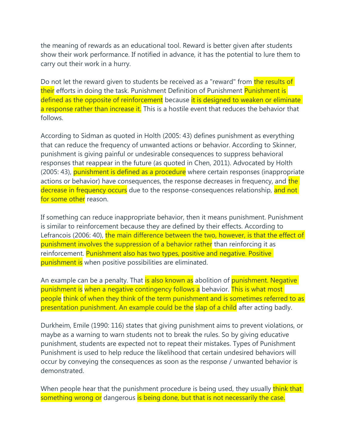the meaning of rewards as an educational tool. Reward is better given after students show their work performance. If notified in advance, it has the potential to lure them to carry out their work in a hurry.

Do not let the reward given to students be received as a "reward" from the results of their efforts in doing the task. Punishment Definition of Punishment Punishment is defined as the opposite of reinforcement because it is designed to weaken or eliminate a response rather than increase it. This is a hostile event that reduces the behavior that follows.

According to Sidman as quoted in Holth (2005: 43) defines punishment as everything that can reduce the frequency of unwanted actions or behavior. According to Skinner, punishment is giving painful or undesirable consequences to suppress behavioral responses that reappear in the future (as quoted in Chen, 2011). Advocated by Holth (2005: 43), punishment is defined as a procedure where certain responses (inappropriate actions or behavior) have consequences, the response decreases in frequency, and the decrease in frequency occurs due to the response-consequences relationship, and not for some other reason.

If something can reduce inappropriate behavior, then it means punishment. Punishment is similar to reinforcement because they are defined by their effects. According to Lefrancois (2006: 40), the main difference between the two, however, is that the effect of punishment involves the suppression of a behavior rather than reinforcing it as reinforcement. Punishment also has two types, positive and negative. Positive punishment is when positive possibilities are eliminated.

An example can be a penalty. That is also known as abolition of punishment. Negative punishment is when a negative contingency follows a behavior. This is what most people think of when they think of the term punishment and is sometimes referred to as presentation punishment. An example could be the slap of a child after acting badly.

Durkheim, Emile (1990: 116) states that giving punishment aims to prevent violations, or maybe as a warning to warn students not to break the rules. So by giving educative punishment, students are expected not to repeat their mistakes. Types of Punishment Punishment is used to help reduce the likelihood that certain undesired behaviors will occur by conveying the consequences as soon as the response / unwanted behavior is demonstrated.

When people hear that the punishment procedure is being used, they usually think that something wrong or dangerous is being done, but that is not necessarily the case.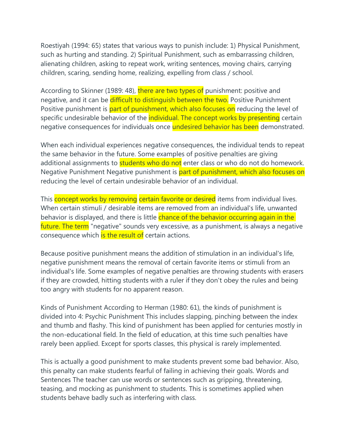Roestiyah (1994: 65) states that various ways to punish include: 1) Physical Punishment, such as hurting and standing. 2) Spiritual Punishment, such as embarrassing children, alienating children, asking to repeat work, writing sentences, moving chairs, carrying children, scaring, sending home, realizing, expelling from class / school.

According to Skinner (1989: 48), there are two types of punishment: positive and negative, and it can be difficult to distinguish between the two. Positive Punishment Positive punishment is part of punishment, which also focuses on reducing the level of specific undesirable behavior of the *individual*. The concept works by presenting certain negative consequences for individuals once undesired behavior has been demonstrated.

When each individual experiences negative consequences, the individual tends to repeat the same behavior in the future. Some examples of positive penalties are giving additional assignments to **students who do not** enter class or who do not do homework. Negative Punishment Negative punishment is part of punishment, which also focuses on reducing the level of certain undesirable behavior of an individual.

This concept works by removing certain favorite or desired items from individual lives. When certain stimuli / desirable items are removed from an individual's life, unwanted behavior is displayed, and there is little chance of the behavior occurring again in the future. The term "negative" sounds very excessive, as a punishment, is always a negative consequence which is the result of certain actions.

Because positive punishment means the addition of stimulation in an individual's life, negative punishment means the removal of certain favorite items or stimuli from an individual's life. Some examples of negative penalties are throwing students with erasers if they are crowded, hitting students with a ruler if they don't obey the rules and being too angry with students for no apparent reason.

Kinds of Punishment According to Herman (1980: 61), the kinds of punishment is divided into 4: Psychic Punishment This includes slapping, pinching between the index and thumb and flashy. This kind of punishment has been applied for centuries mostly in the non-educational field. In the field of education, at this time such penalties have rarely been applied. Except for sports classes, this physical is rarely implemented.

This is actually a good punishment to make students prevent some bad behavior. Also, this penalty can make students fearful of failing in achieving their goals. Words and Sentences The teacher can use words or sentences such as gripping, threatening, teasing, and mocking as punishment to students. This is sometimes applied when students behave badly such as interfering with class.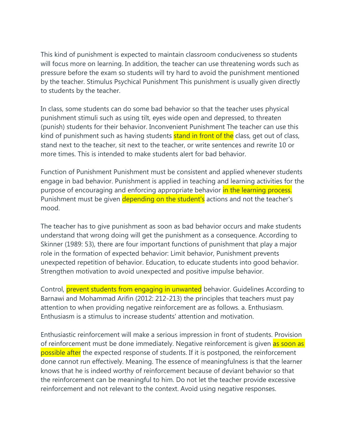This kind of punishment is expected to maintain classroom conduciveness so students will focus more on learning. In addition, the teacher can use threatening words such as pressure before the exam so students will try hard to avoid the punishment mentioned by the teacher. Stimulus Psychical Punishment This punishment is usually given directly to students by the teacher.

In class, some students can do some bad behavior so that the teacher uses physical punishment stimuli such as using tilt, eyes wide open and depressed, to threaten (punish) students for their behavior. Inconvenient Punishment The teacher can use this kind of punishment such as having students **stand in front of the** class, get out of class, stand next to the teacher, sit next to the teacher, or write sentences and rewrite 10 or more times. This is intended to make students alert for bad behavior.

Function of Punishment Punishment must be consistent and applied whenever students engage in bad behavior. Punishment is applied in teaching and learning activities for the purpose of encouraging and enforcing appropriate behavior in the learning process. Punishment must be given depending on the student's actions and not the teacher's mood.

The teacher has to give punishment as soon as bad behavior occurs and make students understand that wrong doing will get the punishment as a consequence. According to Skinner (1989: 53), there are four important functions of punishment that play a major role in the formation of expected behavior: Limit behavior, Punishment prevents unexpected repetition of behavior. Education, to educate students into good behavior. Strengthen motivation to avoid unexpected and positive impulse behavior.

Control, prevent students from engaging in unwanted behavior. Guidelines According to Barnawi and Mohammad Arifin (2012: 212-213) the principles that teachers must pay attention to when providing negative reinforcement are as follows. a. Enthusiasm. Enthusiasm is a stimulus to increase students' attention and motivation.

Enthusiastic reinforcement will make a serious impression in front of students. Provision of reinforcement must be done immediately. Negative reinforcement is given as soon as possible after the expected response of students. If it is postponed, the reinforcement done cannot run effectively. Meaning. The essence of meaningfulness is that the learner knows that he is indeed worthy of reinforcement because of deviant behavior so that the reinforcement can be meaningful to him. Do not let the teacher provide excessive reinforcement and not relevant to the context. Avoid using negative responses.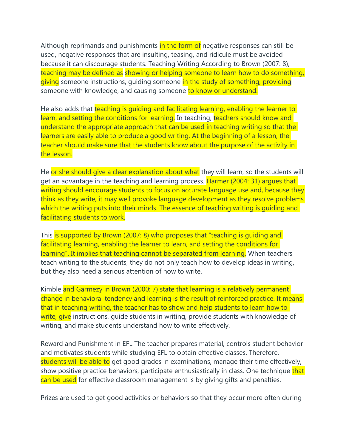Although reprimands and punishments in the form of negative responses can still be used, negative responses that are insulting, teasing, and ridicule must be avoided because it can discourage students. Teaching Writing According to Brown (2007: 8), teaching may be defined as showing or helping someone to learn how to do something, giving someone instructions, quiding someone in the study of something, providing someone with knowledge, and causing someone to know or understand.

He also adds that teaching is quiding and facilitating learning, enabling the learner to learn, and setting the conditions for learning. In teaching, teachers should know and understand the appropriate approach that can be used in teaching writing so that the learners are easily able to produce a good writing. At the beginning of a lesson, the teacher should make sure that the students know about the purpose of the activity in the lesson.

He or she should give a clear explanation about what they will learn, so the students will get an advantage in the teaching and learning process. Harmer (2004: 31) argues that writing should encourage students to focus on accurate language use and, because they think as they write, it may well provoke language development as they resolve problems which the writing puts into their minds. The essence of teaching writing is quiding and facilitating students to work.

This is supported by Brown (2007: 8) who proposes that "teaching is guiding and facilitating learning, enabling the learner to learn, and setting the conditions for learning". It implies that teaching cannot be separated from learning. When teachers teach writing to the students, they do not only teach how to develop ideas in writing, but they also need a serious attention of how to write.

Kimble and Garmezy in Brown (2000: 7) state that learning is a relatively permanent change in behavioral tendency and learning is the result of reinforced practice. It means that in teaching writing, the teacher has to show and help students to learn how to write, give instructions, guide students in writing, provide students with knowledge of writing, and make students understand how to write effectively.

Reward and Punishment in EFL The teacher prepares material, controls student behavior and motivates students while studying EFL to obtain effective classes. Therefore, students will be able to get good grades in examinations, manage their time effectively, show positive practice behaviors, participate enthusiastically in class. One technique that can be used for effective classroom management is by giving gifts and penalties.

Prizes are used to get good activities or behaviors so that they occur more often during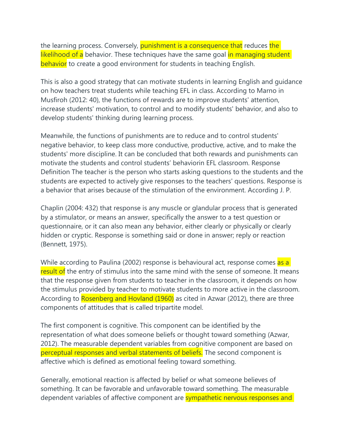the learning process. Conversely, punishment is a consequence that reduces the likelihood of a behavior. These techniques have the same goal in managing student behavior to create a good environment for students in teaching English.

This is also a good strategy that can motivate students in learning English and guidance on how teachers treat students while teaching EFL in class. According to Marno in Musfiroh (2012: 40), the functions of rewards are to improve students' attention, increase students' motivation, to control and to modify students' behavior, and also to develop students' thinking during learning process.

Meanwhile, the functions of punishments are to reduce and to control students' negative behavior, to keep class more conductive, productive, active, and to make the students' more discipline. It can be concluded that both rewards and punishments can motivate the students and control students' behaviorin EFL classroom. Response Definition The teacher is the person who starts asking questions to the students and the students are expected to actively give responses to the teachers' questions. Response is a behavior that arises because of the stimulation of the environment. According J. P.

Chaplin (2004: 432) that response is any muscle or glandular process that is generated by a stimulator, or means an answer, specifically the answer to a test question or questionnaire, or it can also mean any behavior, either clearly or physically or clearly hidden or cryptic. Response is something said or done in answer; reply or reaction (Bennett, 1975).

While according to Paulina (2002) response is behavioural act, response comes as a result of the entry of stimulus into the same mind with the sense of someone. It means that the response given from students to teacher in the classroom, it depends on how the stimulus provided by teacher to motivate students to more active in the classroom. According to Rosenberg and Hovland (1960) as cited in Azwar (2012), there are three components of attitudes that is called tripartite model.

The first component is cognitive. This component can be identified by the representation of what does someone beliefs or thought toward something (Azwar, 2012). The measurable dependent variables from cognitive component are based on perceptual responses and verbal statements of beliefs. The second component is affective which is defined as emotional feeling toward something.

Generally, emotional reaction is affected by belief or what someone believes of something. It can be favorable and unfavorable toward something. The measurable dependent variables of affective component are **sympathetic nervous responses and**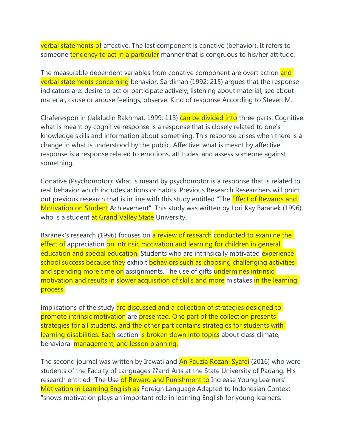verbal statements of affective. The last component is conative (behavior). It refers to someone tendency to act in a particular manner that is congruous to his/her attitude.

The measurable dependent variables from conative component are overt action and verbal statements concerning behavior. Sardiman (1992: 215) argues that the response indicators are: desire to act or participate actively, listening about material, see about material, cause or arouse feelings, observe. Kind of response According to Steven M.

Chaferespon in (Jalaludin Rakhmat, 1999: 118) can be divided into three parts: Cognitive: what is meant by cognitive response is a response that is closely related to one's knowledge skills and information about something. This response arises when there is a change in what is understood by the public. Affective: what is meant by affective response is a response related to emotions, attitudes, and assess someone against something.

Conative (Psychomotor): What is meant by psychomotor is a response that is related to real behavior which includes actions or habits. Previous Research Researchers will point out previous research that is in line with this study entitled "The **Effect of Rewards and** Motivation on Student Achievement". This study was written by Lori Kay Baranek (1996), who is a student at Grand Valley State University.

Baranek's research (1996) focuses on a review of research conducted to examine the effect of appreciation on intrinsic motivation and learning for children in general education and special education. Students who are intrinsically motivated experience school success because they exhibit behaviors such as choosing challenging activities and spending more time on assignments. The use of gifts undermines intrinsic motivation and results in slower acquisition of skills and more mistakes in the learning process.

Implications of the study are discussed and a collection of strategies designed to promote intrinsic motivation are presented. One part of the collection presents strategies for all students, and the other part contains strategies for students with learning disabilities. Each section is broken down into topics about class climate, behavioral management, and lesson planning.

The second journal was written by Irawati and **An Fauzia Rozani Syafei** (2016) who were students of the Faculty of Languages ??and Arts at the State University of Padang. His research entitled "The Use of Reward and Punishment to Increase Young Learners" Motivation in Learning English as Foreign Language Adapted to Indonesian Context "shows motivation plays an important role in learning English for young learners.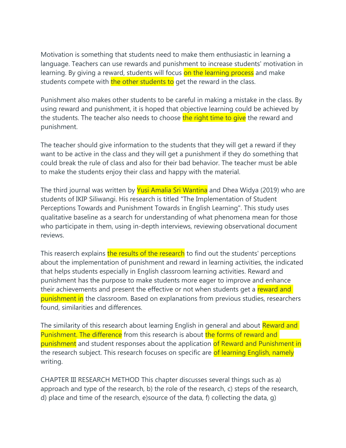Motivation is something that students need to make them enthusiastic in learning a language. Teachers can use rewards and punishment to increase students' motivation in learning. By giving a reward, students will focus on the learning process and make students compete with the other students to get the reward in the class.

Punishment also makes other students to be careful in making a mistake in the class. By using reward and punishment, it is hoped that objective learning could be achieved by the students. The teacher also needs to choose the right time to give the reward and punishment.

The teacher should give information to the students that they will get a reward if they want to be active in the class and they will get a punishment if they do something that could break the rule of class and also for their bad behavior. The teacher must be able to make the students enjoy their class and happy with the material.

The third journal was written by Yusi Amalia Sri Wantina and Dhea Widya (2019) who are students of IKIP Siliwangi. His research is titled "The Implementation of Student Perceptions Towards and Punishment Towards in English Learning". This study uses qualitative baseline as a search for understanding of what phenomena mean for those who participate in them, using in-depth interviews, reviewing observational document reviews.

This reaserch explains the results of the research to find out the students' perceptions about the implementation of punishment and reward in learning activities, the indicated that helps students especially in English classroom learning activities. Reward and punishment has the purpose to make students more eager to improve and enhance their achievements and present the effective or not when students get a reward and punishment in the classroom. Based on explanations from previous studies, researchers found, similarities and differences.

The similarity of this research about learning English in general and about Reward and Punishment. The difference from this research is about the forms of reward and punishment and student responses about the application of Reward and Punishment in the research subject. This research focuses on specific are of learning English, namely writing.

CHAPTER III RESEARCH METHOD This chapter discusses several things such as a) approach and type of the research, b) the role of the research, c) steps of the research, d) place and time of the research, e)source of the data, f) collecting the data, g)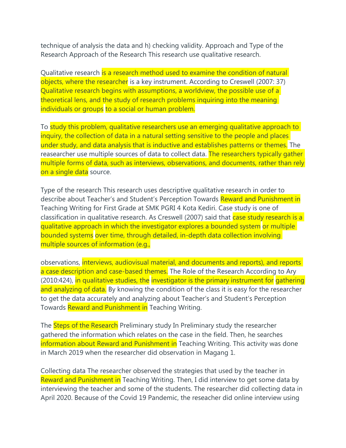technique of analysis the data and h) checking validity. Approach and Type of the Research Approach of the Research This research use qualitative research.

Qualitative research is a research method used to examine the condition of natural objects, where the researcher is a key instrument. According to Creswell (2007: 37) Qualitative research begins with assumptions, a worldview, the possible use of a theoretical lens, and the study of research problems inquiring into the meaning individuals or groups to a social or human problem.

To study this problem, qualitative researchers use an emerging qualitative approach to inquiry, the collection of data in a natural setting sensitive to the people and places under study, and data analysis that is inductive and establishes patterns or themes. The reasearcher use multiple sources of data to collect data. The researchers typically gather multiple forms of data, such as interviews, observations, and documents, rather than rely on a single data source.

Type of the research This research uses descriptive qualitative research in order to describe about Teacher's and Student's Perception Towards Reward and Punishment in Teaching Writing for First Grade at SMK PGRI 4 Kota Kediri. Case study is one of classification in qualitative research. As Creswell (2007) said that case study research is a qualitative approach in which the investigator explores a bounded system or multiple bounded systems over time, through detailed, in-depth data collection involving multiple sources of information (e.g.,

observations, interviews, audiovisual material, and documents and reports), and reports a case description and case-based themes. The Role of the Research According to Ary (2010:424), in qualitative studies, the investigator is the primary instrument for gathering and analyzing of data. By knowing the condition of the class it is easy for the researcher to get the data accurately and analyzing about Teacher's and Student's Perception Towards Reward and Punishment in Teaching Writing.

The Steps of the Research Preliminary study In Preliminary study the researcher gathered the information which relates on the case in the field. Then, he searches information about Reward and Punishment in Teaching Writing. This activity was done in March 2019 when the researcher did observation in Magang 1.

Collecting data The researcher observed the strategies that used by the teacher in Reward and Punishment in Teaching Writing. Then, I did interview to get some data by interviewing the teacher and some of the students. The researcher did collecting data in April 2020. Because of the Covid 19 Pandemic, the reseacher did online interview using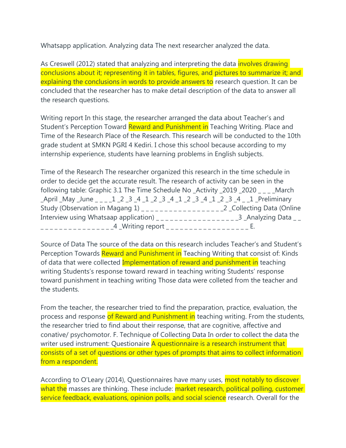Whatsapp application. Analyzing data The next researcher analyzed the data.

As Creswell (2012) stated that analyzing and interpreting the data *involves drawing* conclusions about it; representing it in tables, figures, and pictures to summarize it; and explaining the conclusions in words to provide answers to research question. It can be concluded that the researcher has to make detail description of the data to answer all the research questions.

Writing report In this stage, the researcher arranged the data about Teacher's and Student's Perception Toward Reward and Punishment in Teaching Writing. Place and Time of the Research Place of the Research. This research will be conducted to the 10th grade student at SMKN PGRI 4 Kediri. I chose this school because according to my internship experience, students have learning problems in English subjects.

Time of the Research The researcher organized this research in the time schedule in order to decide get the accurate result. The research of activity can be seen in the following table: Graphic 3.1 The Time Schedule No \_Activity \_2019 \_2020 \_ \_ \_ \_ March \_April \_May \_June \_ \_ \_ \_1 \_2 \_3 \_4 \_1 \_2 \_3 \_4 \_1 \_2 \_3 \_4 \_1 \_2 \_3 \_4 \_ \_1 \_Preliminary Study (Observation in Magang 1) \_ \_ \_ \_ \_ \_ \_ \_ \_ \_ \_ \_ \_ \_ \_ \_ \_ \_2 \_Collecting Data (Online Interview using Whatsaap application) \_\_\_\_\_\_\_\_\_\_\_\_\_\_\_\_\_\_\_\_\_\_\_3 \_Analyzing Data \_\_ \_\_\_\_\_\_\_\_\_\_\_\_\_\_\_\_\_\_\_\_\_4 \_Writing report \_\_\_\_\_\_\_\_\_\_\_\_\_\_\_\_\_\_\_\_\_\_\_\_\_ E.

Source of Data The source of the data on this research includes Teacher's and Student's Perception Towards Reward and Punishment in Teaching Writing that consist of: Kinds of data that were collected Implementation of reward and punishment in teaching writing Students's response toward reward in teaching writing Students' response toward punishment in teaching writing Those data were colleted from the teacher and the students.

From the teacher, the researcher tried to find the preparation, practice, evaluation, the process and response of Reward and Punishment in teaching writing. From the students, the researcher tried to find about their response, that are cognitive, affective and conative/ psychomotor. F. Technique of Collecting Data In order to collect the data the writer used instrument: Questionaire A questionnaire is a research instrument that consists of a set of questions or other types of prompts that aims to collect information from a respondent.

According to O'Leary (2014), Questionnaires have many uses, most notably to discover what the masses are thinking. These include: market research, political polling, customer service feedback, evaluations, opinion polls, and social science research. Overall for the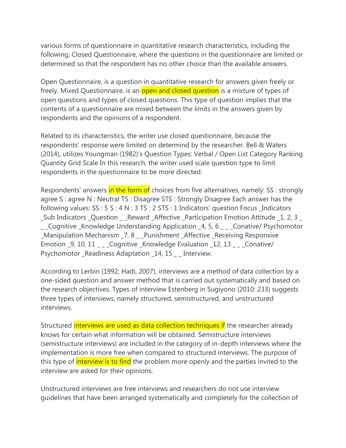various forms of questionnaire in quantitative research characteristics, including the following; Closed Questionnaire, where the questions in the questionnaire are limited or determined so that the respondent has no other choice than the available answers.

Open Questionnaire, is a question in quantitative research for answers given freely or freely. Mixed Questionnaire, is an **open and closed question** is a mixture of types of open questions and types of closed questions. This type of question implies that the contents of a questionnaire are mixed between the limits in the answers given by respondents and the opinions of a respondent.

Related to its characteristics, the writer use closed questionnaire, because the respondents' response were limited on determind by the researcher. Bell & Waters (2014), utilizes Youngman (1982)'s Question Types: Verbal / Open List Category Ranking Quantity Grid Scale In this research, the writer used scale question type to limit respondents in the questionnaire to be more directed.

Respondents' answers in the form of choices from five alternatives, namely: SS : strongly agree S : agree N : Neutral TS : Disagree STS : Strongly Disagree Each answer has the following values: SS : 5 S : 4 N : 3 TS : 2 STS : 1 Indicators' question Focus \_Indicators \_Sub Indicators \_Question \_ \_Reward \_Affective \_Participation Emotion Attitude \_1, 2, 3 \_ \_ \_Cognitive \_Knowledge Understanding Application \_4, 5, 6 \_ \_ \_Conative/ Psychomotor \_Manipulation Mechanism \_7, 8 \_ \_Punishment \_Affective \_Receiving Responsive Emotion 9, 10, 11 \_ Cognitive Knowledge Evaluation 12, 13 \_ Conative/ Psychomotor \_Readiness Adaptation \_14, 15 \_ \_ Interview.

According to Lerbin (1992; Hadi, 2007), interviews are a method of data collection by a one-sided question and answer method that is carried out systematically and based on the research objectives. Types of interview Estenberg in Sugiyono (2010: 233) suggests three types of interviews, namely structured, semistructured, and unstructured interviews.

Structured *interviews are used as data collection techniques if the researcher already* knows for certain what information will be obtained. Semistructure interviews (semistructure interviews) are included in the category of in-depth interviews where the implementation is more free when compared to structured interviews. The purpose of this type of **interview is to find** the problem more openly and the parties invited to the interview are asked for their opinions.

Unstructured interviews are free interviews and researchers do not use interview guidelines that have been arranged systematically and completely for the collection of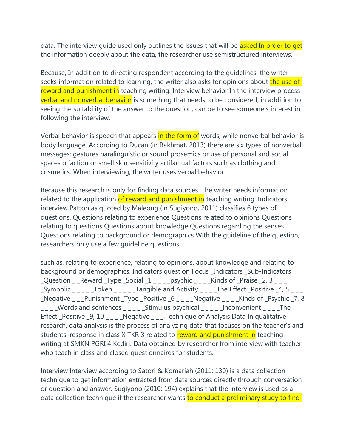data. The interview quide used only outlines the issues that will be asked In order to get the information deeply about the data, the researcher use semistructured interviews.

Because, In addition to directing respondent according to the guidelines, the writer seeks information related to learning, the writer also asks for opinions about the use of reward and punishment in teaching writing. Interview behavior In the interview process verbal and nonverbal behavior is something that needs to be considered, in addition to seeing the suitability of the answer to the question, can be to see someone's interest in following the interview.

Verbal behavior is speech that appears in the form of words, while nonverbal behavior is body language. According to Ducan (in Rakhmat, 2013) there are six types of nonverbal messages: gestures paralinguistic or sound prosemics or use of personal and social spaces olfaction or smell skin sensitivity artifactual factors such as clothing and cosmetics. When interviewing, the writer uses verbal behavior.

Because this research is only for finding data sources. The writer needs information related to the application of reward and punishment in teaching writing. Indicators' interview Patton as quoted by Maleong (in Sugiyono, 2011) classifies 6 types of questions. Questions relating to experience Questions related to opinions Questions relating to questions Questions about knowledge Questions regarding the senses Questions relating to background or demographics With the guideline of the question, researchers only use a few guideline questions.

such as, relating to experience, relating to opinions, about knowledge and relating to background or demographics. Indicators question Focus \_Indicators \_Sub-Indicators Question Reward Type Social  $1 -$  psychic Kinds of Praise 2, 3 \_Symbolic \_ \_ \_ \_ \_Token \_ \_ \_ \_ \_Tangible and Activity \_ \_ \_ \_The Effect \_Positive \_4, 5 \_ \_ \_ \_Negative \_ \_ \_Punishment \_Type \_Positive \_6 \_ \_ \_ \_Negative \_ \_ \_ \_Kinds of \_Psychic \_7, 8  $\text{---}$  Words and sentences  $\text{---}$  Stimulus psychical  $\text{---}$  Inconvenient  $\text{---}$  The Effect \_Positive \_9, 10  $\angle$  \_  $\angle$  \_ \_ Negative  $\angle$  \_ \_ Technique of Analysis Data In qualitative research, data analysis is the process of analyzing data that focuses on the teacher's and students' response in class X TKR 3 related to reward and punishment in teaching writing at SMKN PGRI 4 Kediri. Data obtained by researcher from interview with teacher who teach in class and closed questionnaires for students.

Interview Interview according to Satori & Komariah (2011: 130) is a data collection technique to get information extracted from data sources directly through conversation or question and answer. Sugiyono (2010: 194) explains that the interview is used as a data collection technique if the researcher wants to conduct a preliminary study to find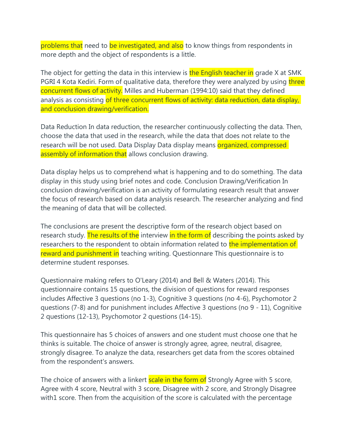problems that need to be investigated, and also to know things from respondents in more depth and the object of respondents is a little.

The object for getting the data in this interview is the English teacher in grade X at SMK PGRI 4 Kota Kediri. Form of qualitative data, therefore they were analyzed by using three concurrent flows of activity. Milles and Huberman (1994:10) said that they defined analysis as consisting of three concurrent flows of activity: data reduction, data display, and conclusion drawing/verification.

Data Reduction In data reduction, the researcher continuously collecting the data. Then, choose the data that used in the research, while the data that does not relate to the research will be not used. Data Display Data display means organized, compressed assembly of information that allows conclusion drawing.

Data display helps us to comprehend what is happening and to do something. The data display in this study using brief notes and code. Conclusion Drawing/Verification In conclusion drawing/verification is an activity of formulating research result that answer the focus of research based on data analysis research. The researcher analyzing and find the meaning of data that will be collected.

The conclusions are present the descriptive form of the research object based on research study. The results of the interview in the form of describing the points asked by researchers to the respondent to obtain information related to the implementation of reward and punishment in teaching writing. Questionnare This questionnaire is to determine student responses.

Questionnaire making refers to O'Leary (2014) and Bell & Waters (2014). This questionnaire contains 15 questions, the division of questions for reward responses includes Affective 3 questions (no 1-3), Cognitive 3 questions (no 4-6), Psychomotor 2 questions (7-8) and for punishment includes Affective 3 questions (no 9 - 11), Cognitive 2 questions (12-13), Psychomotor 2 questions (14-15).

This questionnaire has 5 choices of answers and one student must choose one that he thinks is suitable. The choice of answer is strongly agree, agree, neutral, disagree, strongly disagree. To analyze the data, researchers get data from the scores obtained from the respondent's answers.

The choice of answers with a linkert **scale in the form of** Strongly Agree with 5 score, Agree with 4 score, Neutral with 3 score, Disagree with 2 score, and Strongly Disagree with1 score. Then from the acquisition of the score is calculated with the percentage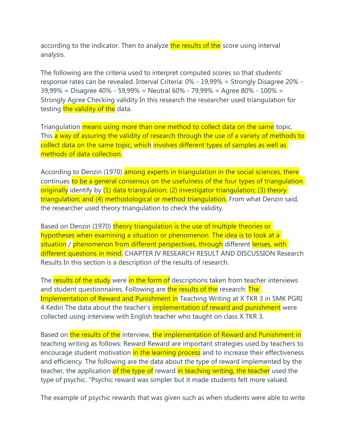according to the indicator. Then to analyze the results of the score using interval analysis.

The following are the criteria used to interpret computed scores so that students' response rates can be revealed. Interval Criteria: 0% - 19,99% = Strongly Disagree 20% - 39,99% = Disagree 40% - 59,99% = Neutral 60% - 79,99% = Agree 80% - 100% = Strongly Agree Checking validity In this research the researcher used triangulation for testing the validity of the data.

Triangulation means using more than one method to collect data on the same topic. This a way of assuring the validity of research through the use of a variety of methods to collect data on the same topic, which involves different types of samples as well as methods of data collection.

According to Denzin (1970) among experts in triangulation in the social sciences, there continues to be a general consensus on the usefulness of the four types of triangulation originally identify by (1) data triangulation; (2) investigator triangulation; (3) theory triangulation; and (4) methodological or method triangulation. From what Denzin said, the researcher used theory triangulation to check the validity.

Based on Denzin (1970) theory triangulation is the use of multiple theories or hypotheses when examining a situation or phenomenon. The idea is to look at a situation / phenomenon from different perspectives, through different lenses, with different questions in mind. CHAPTER IV RESEARCH RESULT AND DISCUSSION Research Results In this section is a description of the results of research.

The results of the study were in the form of descriptions taken from teacher interviews and student questionnaires. Following are the results of the research: The Implementation of Reward and Punishment in Teaching Writing at X TKR 3 in SMK PGRI 4 Kediri The data about the teacher's *implementation of reward and punishment* were collected using interview with English teacher who taught on class X TKR 3.

Based on the results of the interview, the implementation of Reward and Punishment in teaching writing as follows: Reward Reward are important strategies used by teachers to encourage student motivation in the learning process and to increase their effectiveness and efficiency. The following are the data about the type of reward implemented by the teacher, the application of the type of reward in teaching writing, the teacher used the type of psychic. "Psychic reward was simpler but it made students felt more valued.

The example of psychic rewards that was given such as when students were able to write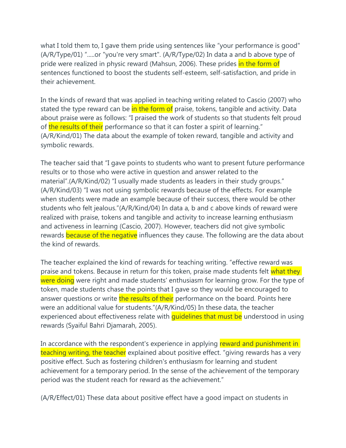what I told them to, I gave them pride using sentences like "your performance is good" (A/R/Type/01) ".....or "you're very smart". (A/R/Type/02) In data a and b above type of pride were realized in physic reward (Mahsun, 2006). These prides in the form of sentences functioned to boost the students self-esteem, self-satisfaction, and pride in their achievement.

In the kinds of reward that was applied in teaching writing related to Cascio (2007) who stated the type reward can be in the form of praise, tokens, tangible and activity. Data about praise were as follows: "I praised the work of students so that students felt proud of the results of their performance so that it can foster a spirit of learning." (A/R/Kind/01) The data about the example of token reward, tangible and activity and symbolic rewards.

The teacher said that "I gave points to students who want to present future performance results or to those who were active in question and answer related to the material".(A/R/Kind/02) "I usually made students as leaders in their study groups." (A/R/Kind/03) "I was not using symbolic rewards because of the effects. For example when students were made an example because of their success, there would be other students who felt jealous."(A/R/Kind/04) In data a, b and c above kinds of reward were realized with praise, tokens and tangible and activity to increase learning enthusiasm and activeness in learning (Cascio, 2007). However, teachers did not give symbolic rewards because of the negative influences they cause. The following are the data about the kind of rewards.

The teacher explained the kind of rewards for teaching writing. "effective reward was praise and tokens. Because in return for this token, praise made students felt what they were doing were right and made students' enthusiasm for learning grow. For the type of token, made students chase the points that I gave so they would be encouraged to answer questions or write the results of their performance on the board. Points here were an additional value for students."(A/R/Kind/05) In these data, the teacher experienced about effectiveness relate with quidelines that must be understood in using rewards (Syaiful Bahri Djamarah, 2005).

In accordance with the respondent's experience in applying reward and punishment in teaching writing, the teacher explained about positive effect. "giving rewards has a very positive effect. Such as fostering children's enthusiasm for learning and student achievement for a temporary period. In the sense of the achievement of the temporary period was the student reach for reward as the achievement."

(A/R/Effect/01) These data about positive effect have a good impact on students in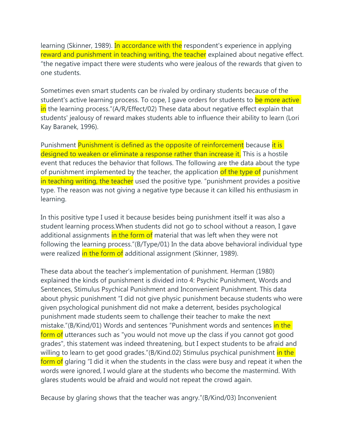learning (Skinner, 1989). In accordance with the respondent's experience in applying reward and punishment in teaching writing, the teacher explained about negative effect. "the negative impact there were students who were jealous of the rewards that given to one students.

Sometimes even smart students can be rivaled by ordinary students because of the student's active learning process. To cope, I gave orders for students to be more active in the learning process."(A/R/Effect/02) These data about negative effect explain that students' jealousy of reward makes students able to influence their ability to learn (Lori Kay Baranek, 1996).

Punishment Punishment is defined as the opposite of reinforcement because it is designed to weaken or eliminate a response rather than increase it. This is a hostile event that reduces the behavior that follows. The following are the data about the type of punishment implemented by the teacher, the application of the type of punishment in teaching writing, the teacher used the positive type. "punishment provides a positive type. The reason was not giving a negative type because it can killed his enthusiasm in learning.

In this positive type I used it because besides being punishment itself it was also a student learning process.When students did not go to school without a reason, I gave additional assignments in the form of material that was left when they were not following the learning process."(B/Type/01) In the data above behavioral individual type were realized in the form of additional assignment (Skinner, 1989).

These data about the teacher's implementation of punishment. Herman (1980) explained the kinds of punishment is divided into 4: Psychic Punishment, Words and Sentences, Stimulus Psychical Punishment and Inconvenient Punishment. This data about physic punishment "I did not give physic punishment because students who were given psychological punishment did not make a deterrent, besides psychological punishment made students seem to challenge their teacher to make the next mistake."(B/Kind/01) Words and sentences "Punishment words and sentences in the form of utterances such as "you would not move up the class if you cannot got good grades", this statement was indeed threatening, but I expect students to be afraid and willing to learn to get good grades."(B/Kind.02) Stimulus psychical punishment in the form of glaring "I did it when the students in the class were busy and repeat it when the words were ignored, I would glare at the students who become the mastermind. With glares students would be afraid and would not repeat the crowd again.

Because by glaring shows that the teacher was angry."(B/Kind/03) Inconvenient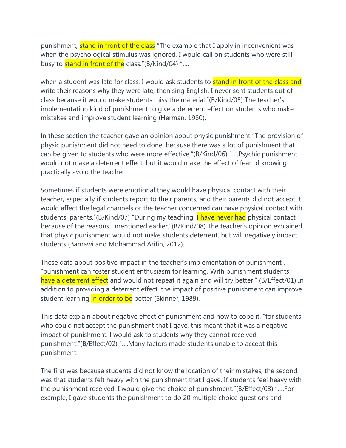punishment, **stand in front of the class** "The example that I apply in inconvenient was when the psychological stimulus was ignored, I would call on students who were still busy to **stand in front of the** class."(B/Kind/04) "....

when a student was late for class, I would ask students to **stand in front of the class and** write their reasons why they were late, then sing English. I never sent students out of class because it would make students miss the material."(B/Kind/05) The teacher's implementation kind of punishment to give a deterrent effect on students who make mistakes and improve student learning (Herman, 1980).

In these section the teacher gave an opinion about physic punishment "The provision of physic punishment did not need to done, because there was a lot of punishment that can be given to students who were more effective."(B/Kind/06) "….Psychic punishment would not make a deterrent effect, but it would make the effect of fear of knowing practically avoid the teacher.

Sometimes if students were emotional they would have physical contact with their teacher, especially if students report to their parents, and their parents did not accept it would affect the legal channels or the teacher concerned can have physical contact with students' parents."(B/Kind/07) "During my teaching, **I have never had** physical contact because of the reasons I mentioned earlier."(B/Kind/08) The teacher's opinion explained that physic punishment would not make students deterrent, but will negatively impact students (Barnawi and Mohammad Arifin, 2012).

These data about positive impact in the teacher's implementation of punishment . "punishment can foster student enthusiasm for learning. With punishment students have a deterrent effect and would not repeat it again and will try better." (B/Effect/01) In addition to providing a deterrent effect, the impact of positive punishment can improve student learning in order to be better (Skinner, 1989).

This data explain about negative effect of punishment and how to cope it. "for students who could not accept the punishment that I gave, this meant that it was a negative impact of punishment. I would ask to students why they cannot received punishment."(B/Effect/02) "….Many factors made students unable to accept this punishment.

The first was because students did not know the location of their mistakes, the second was that students felt heavy with the punishment that I gave. If students feel heavy with the punishment received, I would give the choice of punishment."(B/Effect/03) "….For example, I gave students the punishment to do 20 multiple choice questions and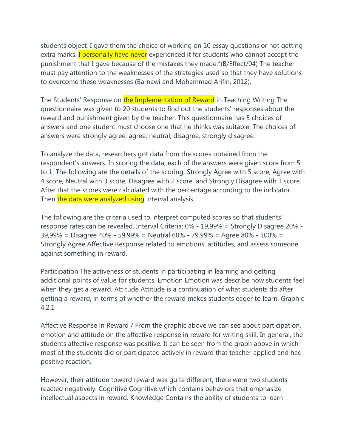students object, I gave them the choice of working on 10 essay questions or not getting extra marks. I personally have never experienced it for students who cannot accept the punishment that I gave because of the mistakes they made."(B/Effect/04) The teacher must pay attention to the weaknesses of the strategies used so that they have solutions to overcome these weaknesses (Barnawi and Mohammad Arifin, 2012).

The Students' Response on the Implementation of Reward in Teaching Writing The questionnaire was given to 20 students to find out the students' responses about the reward and punishment given by the teacher. This questionnaire has 5 choices of answers and one student must choose one that he thinks was suitable. The choices of answers were strongly agree, agree, neutral, disagree, strongly disagree.

To analyze the data, researchers got data from the scores obtained from the respondent's answers. In scoring the data, each of the answers were given score from 5 to 1. The following are the details of the scoring: Strongly Agree with 5 score, Agree with 4 score, Neutral with 3 score, Disagree with 2 score, and Strongly Disagree with 1 score. After that the scores were calculated with the percentage according to the indicator. Then the data were analyzed using interval analysis.

The following are the criteria used to interpret computed scores so that students' response rates can be revealed. Interval Criteria: 0% - 19,99% = Strongly Disagree 20% - 39,99% = Disagree 40% - 59,99% = Neutral 60% - 79,99% = Agree 80% - 100% = Strongly Agree Affective Response related to emotions, attitudes, and assess someone against something in reward.

Participation The activeness of students in participating in learning and getting additional points of value for students. Emotion Emotion was describe how students feel when they get a reward. Attitude Attitude is a continuation of what students do after getting a reward, in terms of whether the reward makes students eager to learn. Graphic 4.2.1

Affective Response in Reward / From the graphic above we can see about participation, emotion and attitude on the affective response in reward for writing skill. In general, the students affective response was positive. It can be seen from the graph above in which most of the students did or participated actively in reward that teacher applied and had positive reaction.

However, their attitude toward reward was guite different, there were two students reacted negatively. Cognitive Cognitive which contains behaviors that emphasize intellectual aspects in reward. Knowledge Contains the ability of students to learn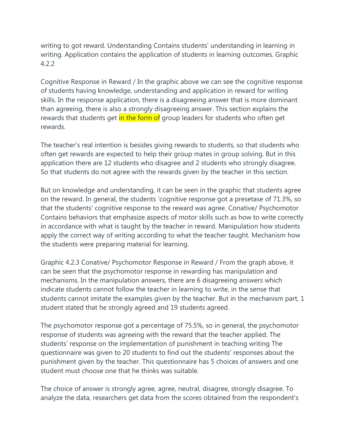writing to got reward. Understanding Contains students' understanding in learning in writing. Application contains the application of students in learning outcomes. Graphic 4.2.2

Cognitive Response in Reward / In the graphic above we can see the cognitive response of students having knowledge, understanding and application in reward for writing skills. In the response application, there is a disagreeing answer that is more dominant than agreeing, there is also a strongly disagreeing answer. This section explains the rewards that students get in the form of group leaders for students who often get rewards.

The teacher's real intention is besides giving rewards to students, so that students who often get rewards are expected to help their group mates in group solving. But in this application there are 12 students who disagree and 2 students who strongly disagree. So that students do not agree with the rewards given by the teacher in this section.

But on knowledge and understanding, it can be seen in the graphic that students agree on the reward. In general, the students 'cognitive response got a presetase of 71.3%, so that the students' cognitive response to the reward was agree. Conative/ Psychomotor Contains behaviors that emphasize aspects of motor skills such as how to write correctly in accordance with what is taught by the teacher in reward. Manipulation how students apply the correct way of writing according to what the teacher taught. Mechanism how the students were preparing material for learning.

Graphic 4.2.3 Conative/ Psychomotor Response in Reward / From the graph above, it can be seen that the psychomotor response in rewarding has manipulation and mechanisms. In the manipulation answers, there are 6 disagreeing answers which indicate students cannot follow the teacher in learning to write, in the sense that students cannot imitate the examples given by the teacher. But in the mechanism part, 1 student stated that he strongly agreed and 19 students agreed.

The psychomotor response got a percentage of 75.5%, so in general, the psychomotor response of students was agreeing with the reward that the teacher applied. The students' response on the implementation of punishment in teaching writing The questionnaire was given to 20 students to find out the students' responses about the punishment given by the teacher. This questionnaire has 5 choices of answers and one student must choose one that he thinks was suitable.

The choice of answer is strongly agree, agree, neutral, disagree, strongly disagree. To analyze the data, researchers get data from the scores obtained from the respondent's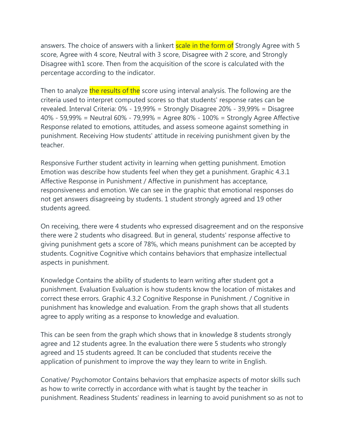answers. The choice of answers with a linkert **scale in the form of** Strongly Agree with 5 score, Agree with 4 score, Neutral with 3 score, Disagree with 2 score, and Strongly Disagree with1 score. Then from the acquisition of the score is calculated with the percentage according to the indicator.

Then to analyze the results of the score using interval analysis. The following are the criteria used to interpret computed scores so that students' response rates can be revealed. Interval Criteria: 0% - 19,99% = Strongly Disagree 20% - 39,99% = Disagree 40% - 59,99% = Neutral 60% - 79,99% = Agree 80% - 100% = Strongly Agree Affective Response related to emotions, attitudes, and assess someone against something in punishment. Receiving How students' attitude in receiving punishment given by the teacher.

Responsive Further student activity in learning when getting punishment. Emotion Emotion was describe how students feel when they get a punishment. Graphic 4.3.1 Affective Response in Punishment / Affective in punishment has acceptance, responsiveness and emotion. We can see in the graphic that emotional responses do not get answers disagreeing by students. 1 student strongly agreed and 19 other students agreed.

On receiving, there were 4 students who expressed disagreement and on the responsive there were 2 students who disagreed. But in general, students' response affective to giving punishment gets a score of 78%, which means punishment can be accepted by students. Cognitive Cognitive which contains behaviors that emphasize intellectual aspects in punishment.

Knowledge Contains the ability of students to learn writing after student got a punishment. Evaluation Evaluation is how students know the location of mistakes and correct these errors. Graphic 4.3.2 Cognitive Response in Punishment. / Cognitive in punishment has knowledge and evaluation. From the graph shows that all students agree to apply writing as a response to knowledge and evaluation.

This can be seen from the graph which shows that in knowledge 8 students strongly agree and 12 students agree. In the evaluation there were 5 students who strongly agreed and 15 students agreed. It can be concluded that students receive the application of punishment to improve the way they learn to write in English.

Conative/ Psychomotor Contains behaviors that emphasize aspects of motor skills such as how to write correctly in accordance with what is taught by the teacher in punishment. Readiness Students' readiness in learning to avoid punishment so as not to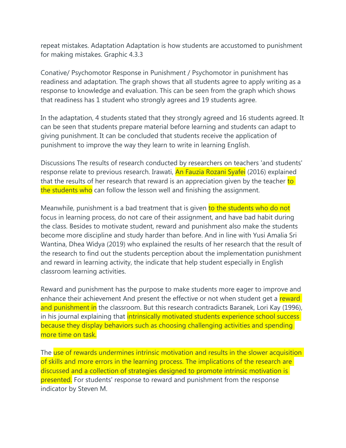repeat mistakes. Adaptation Adaptation is how students are accustomed to punishment for making mistakes. Graphic 4.3.3

Conative/ Psychomotor Response in Punishment / Psychomotor in punishment has readiness and adaptation. The graph shows that all students agree to apply writing as a response to knowledge and evaluation. This can be seen from the graph which shows that readiness has 1 student who strongly agrees and 19 students agree.

In the adaptation, 4 students stated that they strongly agreed and 16 students agreed. It can be seen that students prepare material before learning and students can adapt to giving punishment. It can be concluded that students receive the application of punishment to improve the way they learn to write in learning English.

Discussions The results of research conducted by researchers on teachers 'and students' response relate to previous research. Irawati, **An Fauzia Rozani Syafei** (2016) explained that the results of her research that reward is an appreciation given by the teacher to the students who can follow the lesson well and finishing the assignment.

Meanwhile, punishment is a bad treatment that is given to the students who do not focus in learning process, do not care of their assignment, and have bad habit during the class. Besides to motivate student, reward and punishment also make the students become more discipline and study harder than before. And in line with Yusi Amalia Sri Wantina, Dhea Widya (2019) who explained the results of her research that the result of the research to find out the students perception about the implementation punishment and reward in learning activity, the indicate that help student especially in English classroom learning activities.

Reward and punishment has the purpose to make students more eager to improve and enhance their achievement And present the effective or not when student get a reward and punishment in the classroom. But this research contradicts Baranek, Lori Kay (1996), in his journal explaining that *intrinsically motivated students experience school success* because they display behaviors such as choosing challenging activities and spending more time on task.

The use of rewards undermines intrinsic motivation and results in the slower acquisition of skills and more errors in the learning process. The implications of the research are discussed and a collection of strategies designed to promote intrinsic motivation is presented. For students' response to reward and punishment from the response indicator by Steven M.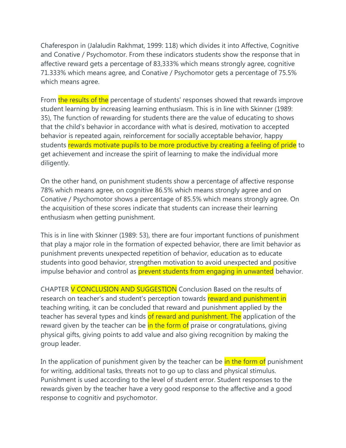Chaferespon in (Jalaludin Rakhmat, 1999: 118) which divides it into Affective, Cognitive and Conative / Psychomotor. From these indicators students show the response that in affective reward gets a percentage of 83,333% which means strongly agree, cognitive 71.333% which means agree, and Conative / Psychomotor gets a percentage of 75.5% which means agree.

From the results of the percentage of students' responses showed that rewards improve student learning by increasing learning enthusiasm. This is in line with Skinner (1989: 35), The function of rewarding for students there are the value of educating to shows that the child's behavior in accordance with what is desired, motivation to accepted behavior is repeated again, reinforcement for socially acceptable behavior, happy students rewards motivate pupils to be more productive by creating a feeling of pride to get achievement and increase the spirit of learning to make the individual more diligently.

On the other hand, on punishment students show a percentage of affective response 78% which means agree, on cognitive 86.5% which means strongly agree and on Conative / Psychomotor shows a percentage of 85.5% which means strongly agree. On the acquisition of these scores indicate that students can increase their learning enthusiasm when getting punishment.

This is in line with Skinner (1989: 53), there are four important functions of punishment that play a major role in the formation of expected behavior, there are limit behavior as punishment prevents unexpected repetition of behavior, education as to educate students into good behavior, strengthen motivation to avoid unexpected and positive impulse behavior and control as **prevent students from engaging in unwanted** behavior.

CHAPTER V CONCLUSION AND SUGGESTION Conclusion Based on the results of research on teacher's and student's perception towards reward and punishment in teaching writing, it can be concluded that reward and punishment applied by the teacher has several types and kinds of reward and punishment. The application of the reward given by the teacher can be in the form of praise or congratulations, giving physical gifts, giving points to add value and also giving recognition by making the group leader.

In the application of punishment given by the teacher can be in the form of punishment for writing, additional tasks, threats not to go up to class and physical stimulus. Punishment is used according to the level of student error. Student responses to the rewards given by the teacher have a very good response to the affective and a good response to cognitiv and psychomotor.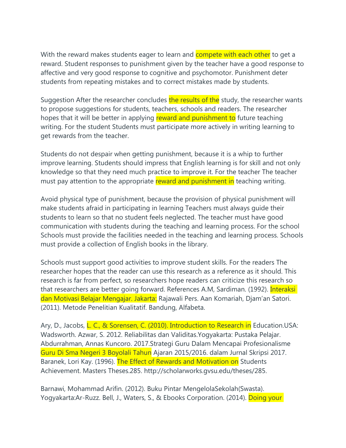With the reward makes students eager to learn and **compete with each other** to get a reward. Student responses to punishment given by the teacher have a good response to affective and very good response to cognitive and psychomotor. Punishment deter students from repeating mistakes and to correct mistakes made by students.

Suggestion After the researcher concludes the results of the study, the researcher wants to propose suggestions for students, teachers, schools and readers. The researcher hopes that it will be better in applying reward and punishment to future teaching writing. For the student Students must participate more actively in writing learning to get rewards from the teacher.

Students do not despair when getting punishment, because it is a whip to further improve learning. Students should impress that English learning is for skill and not only knowledge so that they need much practice to improve it. For the teacher The teacher must pay attention to the appropriate reward and punishment in teaching writing.

Avoid physical type of punishment, because the provision of physical punishment will make students afraid in participating in learning Teachers must always guide their students to learn so that no student feels neglected. The teacher must have good communication with students during the teaching and learning process. For the school Schools must provide the facilities needed in the teaching and learning process. Schools must provide a collection of English books in the library.

Schools must support good activities to improve student skills. For the readers The researcher hopes that the reader can use this research as a reference as it should. This research is far from perfect, so researchers hope readers can criticize this research so that researchers are better going forward. References A.M, Sardiman. (1992). Interaksi dan Motivasi Belajar Mengajar. Jakarta: Rajawali Pers. Aan Komariah, Djam'an Satori. (2011). Metode Penelitian Kualitatif. Bandung, Alfabeta.

Ary, D., Jacobs, L. C., & Sorensen, C. (2010). Introduction to Research in Education.USA: Wadsworth. Azwar, S. 2012. Reliabilitas dan Validitas.Yogyakarta: Pustaka Pelajar. Abdurrahman, Annas Kuncoro. 2017.Strategi Guru Dalam Mencapai Profesionalisme Guru Di Sma Negeri 3 Boyolali Tahun Ajaran 2015/2016. dalam Jurnal Skripsi 2017. Baranek, Lori Kay. (1996). The Effect of Rewards and Motivation on Students Achievement. Masters Theses.285. http://scholarworks.gvsu.edu/theses/285.

Barnawi, Mohammad Arifin. (2012). Buku Pintar MengelolaSekolah(Swasta). Yogyakarta:Ar-Ruzz. Bell, J., Waters, S., & Ebooks Corporation. (2014). Doing your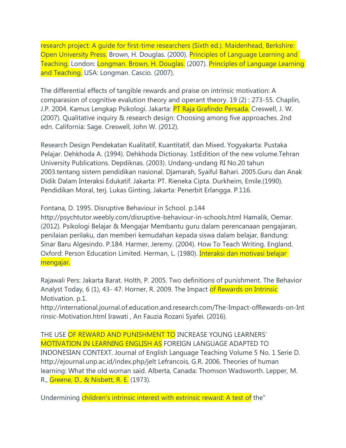research project: A guide for first-time researchers (Sixth ed.). Maidenhead, Berkshire: Open University Press. Brown, H. Douglas. (2000). Principles of Language Learning and Teaching. London: Longman. Brown, H. Douglas. (2007). Principles of Language Learning and Teaching. USA: Longman. Cascio. (2007).

The differential effects of tangible rewards and praise on intrinsic motivation: A comparasion of cognitive evalution theory and operant theory. 19 (2) : 273-55. Chaplin, J.P. 2004. Kamus Lengkap Psikologi. Jakarta: PT Raja Grafindo Persada. Creswell, J. W. (2007). Qualitative inquiry & research design: Choosing among five approaches. 2nd edn. California: Sage. Creswell, John W. (2012).

Research Design Pendekatan Kualitatif, Kuantitatif, dan Mixed. Yogyakarta: Pustaka Pelajar. Dehkhoda A. (1994). Dehkhoda Dictionay. 1stEdition of the new volume.Tehran University Publications. Depdiknas. (2003). Undang-undang RI No.20 tahun 2003.tentang sistem pendidikan nasional. Djamarah, Syaiful Bahari. 2005.Guru dan Anak Didik Dalam Interaksi Edukatif. Jakarta: PT. Rieneka Cipta. Durkheim, Emile.(1990). Pendidikan Moral, terj. Lukas Ginting, Jakarta: Penerbit Erlangga. P.116.

Fontana, D. 1995. Disruptive Behaviour in School. p.144

http://psychtutor.weebly.com/disruptive-behaviour-in-schools.html Hamalik, Oemar. (2012). Psikologi Belajar & Mengajar Membantu guru dalam perencanaan pengajaran, penilaian perilaku, dan memberi kemudahan kepada siswa dalam belajar, Bandung: Sinar Baru Algesindo. P.184. Harmer, Jeremy. (2004). How To Teach Writing. England. Oxford: Person Education Limited. Herman, L. (1980). Interaksi dan motivasi belajar mengajar.

Rajawali Pers: Jakarta Barat. Holth, P. 2005. Two definitions of punishment. The Behavior Analyst Today, 6 (1), 43-47. Horner, R. 2009. The Impact of Rewards on Intrinsic Motivation. p.1.

http://international.journal.of.education.and.research.com/The-Impact-ofRewards-on-Int rinsic-Motivation.html Irawati , An Fauzia Rozani Syafei. (2016).

THE USE OF REWARD AND PUNISHMENT TO INCREASE YOUNG LEARNERS' MOTIVATION IN LEARNING ENGLISH AS FOREIGN LANGUAGE ADAPTED TO INDONESIAN CONTEXT. Journal of English Language Teaching Volume 5 No. 1 Serie D. http://ejournal.unp.ac.id/index.php/jelt Lefrancois, G.R. 2006. Theories of human learning: What the old woman said. Alberta, Canada: Thomson Wadsworth. Lepper, M. R., Greene, D., & Nisbett, R. E. (1973).

Undermining children's intrinsic interest with extrinsic reward: A test of the"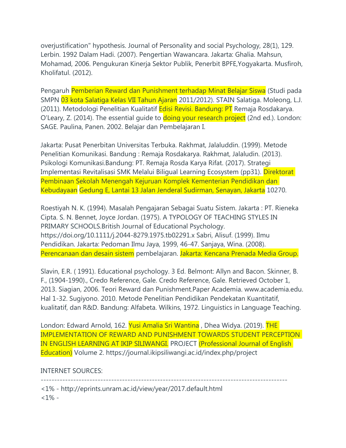overjustification" hypothesis. Journal of Personality and social Psychology, 28(1), 129. Lerbin. 1992 Dalam Hadi. (2007). Pengertian Wawancara. Jakarta: Ghalia. Mahsun, Mohamad, 2006. Pengukuran Kinerja Sektor Publik, Penerbit BPFE,Yogyakarta. Musfiroh, Kholifatul. (2012).

Pengaruh Pemberian Reward dan Punishment terhadap Minat Belajar Siswa (Studi pada SMPN 03 kota Salatiga Kelas VII Tahun Ajaran 2011/2012). STAIN Salatiga. Moleong, L.J. (2011). Metodologi Penelitian Kualitatif Edisi Revisi. Bandung: PT Remaja Rosdakarya. O'Leary, Z. (2014). The essential guide to doing your research project (2nd ed.). London: SAGE. Paulina, Panen. 2002. Belajar dan Pembelajaran I.

Jakarta: Pusat Penerbitan Universitas Terbuka. Rakhmat, Jalaluddin. (1999). Metode Penelitian Komunikasi. Bandung : Remaja Rosdakarya. Rakhmat, Jalaludin. (2013). Psikologi Komunikasi.Bandung: PT. Remaja Rosda Karya Rifat. (2017). Strategi Implementasi Revitalisasi SMK Melalui Biligual Learning Ecosystem (pp31). Direktorat Pembinaan Sekolah Menengah Kejuruan Komplek Kementerian Pendidikan dan Kebudayaan Gedung E, Lantai 13 Jalan Jenderal Sudirman, Senayan, Jakarta 10270.

Roestiyah N. K. (1994). Masalah Pengajaran Sebagai Suatu Sistem. Jakarta : PT. Rieneka Cipta. S. N. Bennet, Joyce Jordan. (1975). A TYPOLOGY OF TEACHING STYLES IN PRIMARY SCHOOLS.British Journal of Educational Psychology. https://doi.org/10.1111/j.2044-8279.1975.tb02291.x Sabri, Alisuf. (1999). Ilmu Pendidikan. Jakarta: Pedoman Ilmu Jaya, 1999, 46-47. Sanjaya, Wina. (2008). Perencanaan dan desain sistem pembelajaran. Jakarta: Kencana Prenada Media Group.

Slavin, E.R. ( 1991). Educational psychology. 3 Ed. Belmont: Allyn and Bacon. Skinner, B. F., (1904-1990)., Credo Reference, Gale. Credo Reference, Gale. Retrieved October 1, 2013. Siagian, 2006. Teori Reward dan Punishment.Paper Academia. www.academia.edu. Hal 1-32. Sugiyono. 2010. Metode Penelitian Pendidikan Pendekatan Kuantitatif, kualitatif, dan R&D. Bandung: Alfabeta. Wilkins, 1972. Linguistics in Language Teaching.

London: Edward Arnold, 162. Yusi Amalia Sri Wantina, Dhea Widya. (2019). THE IMPLEMENTATION OF REWARD AND PUNISHMENT TOWARDS STUDENT PERCEPTION IN ENGLISH LEARNING AT IKIP SILIWANGI. PROJECT (Professional Journal of English Education) Volume 2. https://journal.ikipsiliwangi.ac.id/index.php/project

## INTERNET SOURCES:

------------------------------------------------------------------------------------------- <1% - http://eprints.unram.ac.id/view/year/2017.default.html  $<1\%$  -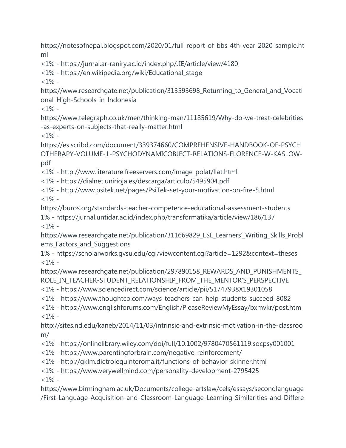https://notesofnepal.blogspot.com/2020/01/full-report-of-bbs-4th-year-2020-sample.ht ml

<1% - https://jurnal.ar-raniry.ac.id/index.php/JIE/article/view/4180

<1% - https://en.wikipedia.org/wiki/Educational\_stage

 $<1\%$  -

https://www.researchgate.net/publication/313593698\_Returning\_to\_General\_and\_Vocati onal High-Schools in Indonesia

 $<1\%$  -

https://www.telegraph.co.uk/men/thinking-man/11185619/Why-do-we-treat-celebrities -as-experts-on-subjects-that-really-matter.html

 $<1\%$  -

https://es.scribd.com/document/339374660/COMPREHENSIVE-HANDBOOK-OF-PSYCH OTHERAPY-VOLUME-1-PSYCHODYNAMICOBJECT-RELATIONS-FLORENCE-W-KASLOWpdf

<1% - http://www.literature.freeservers.com/image\_polat/llat.html

<1% - https://dialnet.unirioja.es/descarga/articulo/5495904.pdf

<1% - http://www.psitek.net/pages/PsiTek-set-your-motivation-on-fire-5.html  $<1\%$  -

https://buros.org/standards-teacher-competence-educational-assessment-students 1% - https://jurnal.untidar.ac.id/index.php/transformatika/article/view/186/137  $<1\%$  -

https://www.researchgate.net/publication/311669829\_ESL\_Learners'\_Writing\_Skills\_Probl ems\_Factors\_and\_Suggestions

1% - https://scholarworks.gvsu.edu/cgi/viewcontent.cgi?article=1292&context=theses  $<1\%$  -

https://www.researchgate.net/publication/297890158\_REWARDS\_AND\_PUNISHMENTS ROLE\_IN\_TEACHER-STUDENT\_RELATIONSHIP\_FROM\_THE\_MENTOR'S\_PERSPECTIVE

<1% - https://www.sciencedirect.com/science/article/pii/S1747938X19301058

<1% - https://www.thoughtco.com/ways-teachers-can-help-students-succeed-8082

<1% - https://www.englishforums.com/English/PleaseReviewMyEssay/bxmvkr/post.htm  $<1\%$  -

http://sites.nd.edu/kaneb/2014/11/03/intrinsic-and-extrinsic-motivation-in-the-classroo m/

<1% - https://onlinelibrary.wiley.com/doi/full/10.1002/9780470561119.socpsy001001

- <1% https://www.parentingforbrain.com/negative-reinforcement/
- <1% http://gklm.dietrolequinteroma.it/functions-of-behavior-skinner.html
- <1% https://www.verywellmind.com/personality-development-2795425

 $<1\%$  -

https://www.birmingham.ac.uk/Documents/college-artslaw/cels/essays/secondlanguage /First-Language-Acquisition-and-Classroom-Language-Learning-Similarities-and-Differe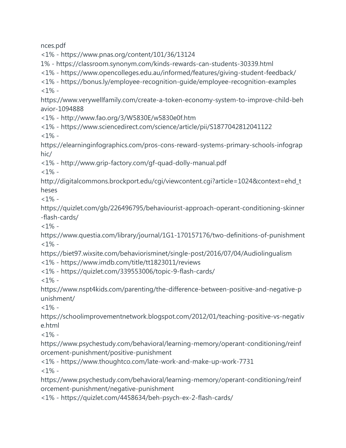nces.pdf

<1% - https://www.pnas.org/content/101/36/13124

1% - https://classroom.synonym.com/kinds-rewards-can-students-30339.html

<1% - https://www.opencolleges.edu.au/informed/features/giving-student-feedback/

<1% - https://bonus.ly/employee-recognition-guide/employee-recognition-examples  $<1\%$  -

https://www.verywellfamily.com/create-a-token-economy-system-to-improve-child-beh avior-1094888

<1% - http://www.fao.org/3/W5830E/w5830e0f.htm

<1% - https://www.sciencedirect.com/science/article/pii/S1877042812041122

 $<1\%$  -

https://elearninginfographics.com/pros-cons-reward-systems-primary-schools-infograp hic/

<1% - http://www.grip-factory.com/gf-quad-dolly-manual.pdf

 $<1\%$  -

http://digitalcommons.brockport.edu/cgi/viewcontent.cgi?article=1024&context=ehd\_t heses

 $<1\%$  -

https://quizlet.com/gb/226496795/behaviourist-approach-operant-conditioning-skinner -flash-cards/

 $<1\%$  -

https://www.questia.com/library/journal/1G1-170157176/two-definitions-of-punishment  $<1\%$  -

https://biet97.wixsite.com/behaviorisminet/single-post/2016/07/04/Audiolingualism

<1% - https://www.imdb.com/title/tt1823011/reviews

<1% - https://quizlet.com/339553006/topic-9-flash-cards/

 $1\%$  -

https://www.nspt4kids.com/parenting/the-difference-between-positive-and-negative-p unishment/

 $<1\%$  -

https://schoolimprovementnetwork.blogspot.com/2012/01/teaching-positive-vs-negativ e.html

 $<1\%$  -

https://www.psychestudy.com/behavioral/learning-memory/operant-conditioning/reinf orcement-punishment/positive-punishment

<1% - https://www.thoughtco.com/late-work-and-make-up-work-7731  $<1\%$  -

https://www.psychestudy.com/behavioral/learning-memory/operant-conditioning/reinf orcement-punishment/negative-punishment

<1% - https://quizlet.com/4458634/beh-psych-ex-2-flash-cards/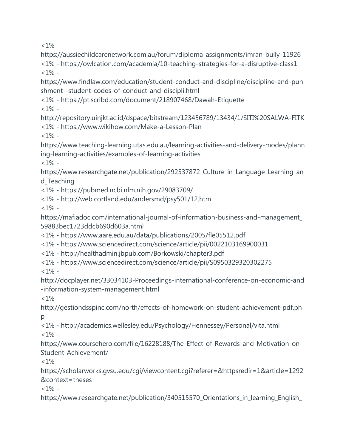$<1\%$  -

https://aussiechildcarenetwork.com.au/forum/diploma-assignments/imran-bully-11926 <1% - https://owlcation.com/academia/10-teaching-strategies-for-a-disruptive-class1  $<1\%$  -

https://www.findlaw.com/education/student-conduct-and-discipline/discipline-and-puni shment--student-codes-of-conduct-and-discipli.html

<1% - https://pt.scribd.com/document/218907468/Dawah-Etiquette

 $<1\%$  -

http://repository.uinjkt.ac.id/dspace/bitstream/123456789/13434/1/SITI%20SALWA-FITK <1% - https://www.wikihow.com/Make-a-Lesson-Plan  $1\%$  -

https://www.teaching-learning.utas.edu.au/learning-activities-and-delivery-modes/plann ing-learning-activities/examples-of-learning-activities

 $<1\%$  -

https://www.researchgate.net/publication/292537872\_Culture\_in\_Language\_Learning\_an d\_Teaching

<1% - https://pubmed.ncbi.nlm.nih.gov/29083709/

<1% - http://web.cortland.edu/andersmd/psy501/12.htm

 $<1\%$  -

https://mafiadoc.com/international-journal-of-information-business-and-management\_ 59883bec1723ddcb690d603a.html

<1% - https://www.aare.edu.au/data/publications/2005/fle05512.pdf

<1% - https://www.sciencedirect.com/science/article/pii/0022103169900031

<1% - http://healthadmin.jbpub.com/Borkowski/chapter3.pdf

<1% - https://www.sciencedirect.com/science/article/pii/S0950329320302275

 $<1\%$  -

http://docplayer.net/33034103-Proceedings-international-conference-on-economic-and -information-system-management.html

 $<1\%$  -

http://gestiondsspinc.com/north/effects-of-homework-on-student-achievement-pdf.ph p

<1% - http://academics.wellesley.edu/Psychology/Hennessey/Personal/vita.html  $<1\%$  -

https://www.coursehero.com/file/16228188/The-Effect-of-Rewards-and-Motivation-on-Student-Achievement/

 $1\%$  -

https://scholarworks.gvsu.edu/cgi/viewcontent.cgi?referer=&httpsredir=1&article=1292 &context=theses

 $<1\%$  -

https://www.researchgate.net/publication/340515570\_Orientations\_in\_learning\_English\_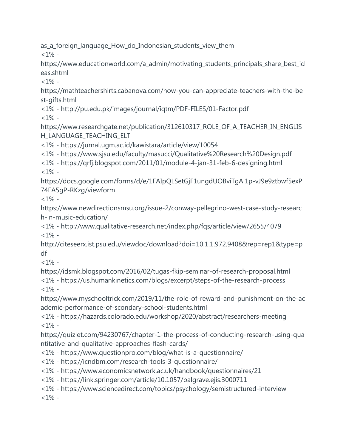as\_a\_foreign\_language\_How\_do\_Indonesian\_students\_view\_them

 $<1\%$  -

https://www.educationworld.com/a\_admin/motivating\_students\_principals\_share\_best\_id eas.shtml

 $<1\%$  -

https://mathteachershirts.cabanova.com/how-you-can-appreciate-teachers-with-the-be st-gifts.html

<1% - http://pu.edu.pk/images/journal/iqtm/PDF-FILES/01-Factor.pdf

 $<1\%$  -

https://www.researchgate.net/publication/312610317\_ROLE\_OF\_A\_TEACHER\_IN\_ENGLIS H\_LANGUAGE\_TEACHING\_ELT

<1% - https://jurnal.ugm.ac.id/kawistara/article/view/10054

<1% - https://www.sjsu.edu/faculty/masucci/Qualitative%20Research%20Design.pdf

<1% - https://qrfj.blogspot.com/2011/01/module-4-jan-31-feb-6-designing.html  $1\%$  -

https://docs.google.com/forms/d/e/1FAIpQLSetGjF1ungdUOBviTgAl1p-vJ9e9ztbwf5exP 74FA5gP-RKzg/viewform

 $<1\%$  -

https://www.newdirectionsmsu.org/issue-2/conway-pellegrino-west-case-study-researc h-in-music-education/

<1% - http://www.qualitative-research.net/index.php/fqs/article/view/2655/4079  $<1\%$  -

http://citeseerx.ist.psu.edu/viewdoc/download?doi=10.1.1.972.9408&rep=rep1&type=p df

 $<1\%$  -

https://idsmk.blogspot.com/2016/02/tugas-fkip-seminar-of-research-proposal.html <1% - https://us.humankinetics.com/blogs/excerpt/steps-of-the-research-process  $1% -$ 

https://www.myschooltrick.com/2019/11/the-role-of-reward-and-punishment-on-the-ac ademic-performance-of-scondary-school-students.html

<1% - https://hazards.colorado.edu/workshop/2020/abstract/researchers-meeting  $1\%$  -

https://quizlet.com/94230767/chapter-1-the-process-of-conducting-research-using-qua ntitative-and-qualitative-approaches-flash-cards/

<1% - https://www.questionpro.com/blog/what-is-a-questionnaire/

<1% - https://icndbm.com/research-tools-3-questionnaire/

<1% - https://www.economicsnetwork.ac.uk/handbook/questionnaires/21

<1% - https://link.springer.com/article/10.1057/palgrave.ejis.3000711

<1% - https://www.sciencedirect.com/topics/psychology/semistructured-interview  $<1\%$  -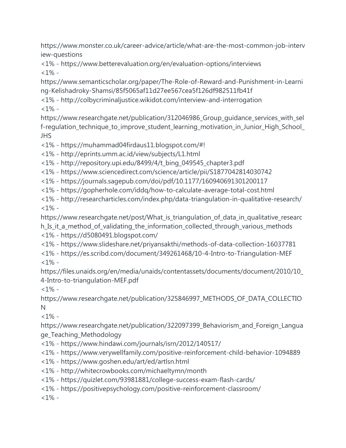https://www.monster.co.uk/career-advice/article/what-are-the-most-common-job-interv iew-questions

<1% - https://www.betterevaluation.org/en/evaluation-options/interviews  $<1\%$  -

https://www.semanticscholar.org/paper/The-Role-of-Reward-and-Punishment-in-Learni ng-Kelishadroky-Shamsi/85f5065af11d27ee567cea5f126df982511fb41f

<1% - http://colbycriminaljustice.wikidot.com/interview-and-interrogation  $<1\%$  -

https://www.researchgate.net/publication/312046986\_Group\_guidance\_services\_with\_sel f-regulation\_technique\_to\_improve\_student\_learning\_motivation\_in\_Junior\_High\_School\_ JHS

<1% - https://muhammad04firdaus11.blogspot.com/#!

<1% - http://eprints.umm.ac.id/view/subjects/L1.html

<1% - http://repository.upi.edu/8499/4/t\_bing\_049545\_chapter3.pdf

<1% - https://www.sciencedirect.com/science/article/pii/S1877042814030742

<1% - https://journals.sagepub.com/doi/pdf/10.1177/160940691301200117

<1% - https://gopherhole.com/iddq/how-to-calculate-average-total-cost.html

<1% - http://researcharticles.com/index.php/data-triangulation-in-qualitative-research/  $<1\%$  -

https://www.researchgate.net/post/What\_is\_triangulation\_of\_data\_in\_qualitative\_researc h\_Is\_it\_a\_method\_of\_validating\_the\_information\_collected\_through\_various\_methods <1% - https://d5080491.blogspot.com/

<1% - https://www.slideshare.net/priyansakthi/methods-of-data-collection-16037781

<1% - https://es.scribd.com/document/349261468/10-4-Intro-to-Triangulation-MEF  $1\%$  -

https://files.unaids.org/en/media/unaids/contentassets/documents/document/2010/10\_ 4-Intro-to-triangulation-MEF.pdf

 $< 1\%$  -

https://www.researchgate.net/publication/325846997\_METHODS\_OF\_DATA\_COLLECTIO N

 $<1\%$  -

https://www.researchgate.net/publication/322097399\_Behaviorism\_and\_Foreign\_Langua ge\_Teaching\_Methodology

- <1% https://www.hindawi.com/journals/isrn/2012/140517/
- <1% https://www.verywellfamily.com/positive-reinforcement-child-behavior-1094889
- <1% https://www.goshen.edu/art/ed/artlsn.html
- <1% http://whitecrowbooks.com/michaeltymn/month
- <1% https://quizlet.com/93981881/college-success-exam-flash-cards/
- <1% https://positivepsychology.com/positive-reinforcement-classroom/

 $<1\%$  -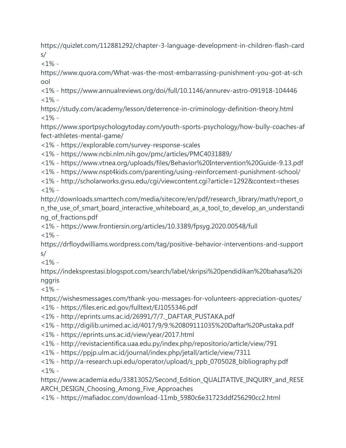https://quizlet.com/112881292/chapter-3-language-development-in-children-flash-card s/

 $<1\%$  -

https://www.quora.com/What-was-the-most-embarrassing-punishment-you-got-at-sch ool

<1% - https://www.annualreviews.org/doi/full/10.1146/annurev-astro-091918-104446  $<1\%$  -

https://study.com/academy/lesson/deterrence-in-criminology-definition-theory.html  $<1\%$  -

https://www.sportpsychologytoday.com/youth-sports-psychology/how-bully-coaches-af fect-athletes-mental-game/

<1% - https://explorable.com/survey-response-scales

<1% - https://www.ncbi.nlm.nih.gov/pmc/articles/PMC4031889/

<1% - https://www.vtnea.org/uploads/files/Behavior%20Intervention%20Guide-9.13.pdf

<1% - https://www.nspt4kids.com/parenting/using-reinforcement-punishment-school/

<1% - http://scholarworks.gvsu.edu/cgi/viewcontent.cgi?article=1292&context=theses  $<1\%$  -

http://downloads.smarttech.com/media/sitecore/en/pdf/research\_library/math/report\_o n\_the\_use\_of\_smart\_board\_interactive\_whiteboard\_as\_a\_tool\_to\_develop\_an\_understandi ng\_of\_fractions.pdf

<1% - https://www.frontiersin.org/articles/10.3389/fpsyg.2020.00548/full  $<1\%$  -

https://drfloydwilliams.wordpress.com/tag/positive-behavior-interventions-and-support s/

 $<1\%$  -

https://indeksprestasi.blogspot.com/search/label/skripsi%20pendidikan%20bahasa%20i nggris

 $<1\%$  -

https://wishesmessages.com/thank-you-messages-for-volunteers-appreciation-quotes/

<1% - https://files.eric.ed.gov/fulltext/EJ1055346.pdf

<1% - http://eprints.ums.ac.id/26991/7/7.\_DAFTAR\_PUSTAKA.pdf

<1% - http://digilib.unimed.ac.id/4017/9/9.%20809111035%20Daftar%20Pustaka.pdf

<1% - https://eprints.uns.ac.id/view/year/2017.html

<1% - http://revistacientifica.uaa.edu.py/index.php/repositorio/article/view/791

<1% - https://ppjp.ulm.ac.id/journal/index.php/jetall/article/view/7311

<1% - http://a-research.upi.edu/operator/upload/s\_ppb\_0705028\_bibliography.pdf  $<1\%$  -

https://www.academia.edu/33813052/Second\_Edition\_QUALITATIVE\_INQUIRY\_and\_RESE ARCH\_DESIGN\_Choosing\_Among\_Five\_Approaches

<1% - https://mafiadoc.com/download-11mb\_5980c6e31723ddf256290cc2.html